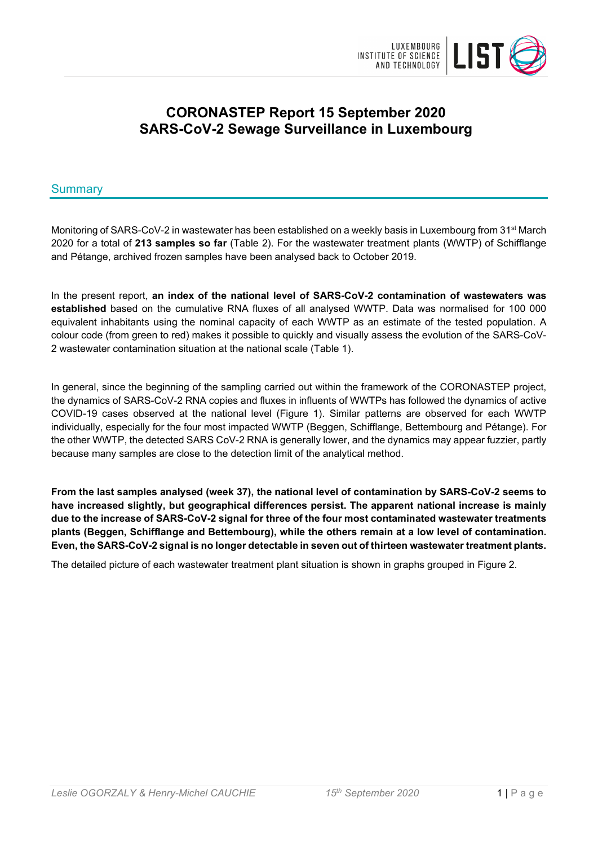

# **CORONASTEP Report 15 September 2020 SARS-CoV-2 Sewage Surveillance in Luxembourg**

## Summary

Monitoring of SARS-CoV-2 in wastewater has been established on a weekly basis in Luxembourg from 31<sup>st</sup> March 2020 for a total of **213 samples so far** (Table 2). For the wastewater treatment plants (WWTP) of Schifflange and Pétange, archived frozen samples have been analysed back to October 2019.

In the present report, **an index of the national level of SARS-CoV-2 contamination of wastewaters was established** based on the cumulative RNA fluxes of all analysed WWTP. Data was normalised for 100 000 equivalent inhabitants using the nominal capacity of each WWTP as an estimate of the tested population. A colour code (from green to red) makes it possible to quickly and visually assess the evolution of the SARS-CoV-2 wastewater contamination situation at the national scale (Table 1).

In general, since the beginning of the sampling carried out within the framework of the CORONASTEP project, the dynamics of SARS-CoV-2 RNA copies and fluxes in influents of WWTPs has followed the dynamics of active COVID-19 cases observed at the national level (Figure 1). Similar patterns are observed for each WWTP individually, especially for the four most impacted WWTP (Beggen, Schifflange, Bettembourg and Pétange). For the other WWTP, the detected SARS CoV-2 RNA is generally lower, and the dynamics may appear fuzzier, partly because many samples are close to the detection limit of the analytical method.

**From the last samples analysed (week 37), the national level of contamination by SARS-CoV-2 seems to have increased slightly, but geographical differences persist. The apparent national increase is mainly due to the increase of SARS-CoV-2 signal for three of the four most contaminated wastewater treatments plants (Beggen, Schifflange and Bettembourg), while the others remain at a low level of contamination. Even, the SARS-CoV-2 signal is no longer detectable in seven out of thirteen wastewater treatment plants.**

The detailed picture of each wastewater treatment plant situation is shown in graphs grouped in Figure 2.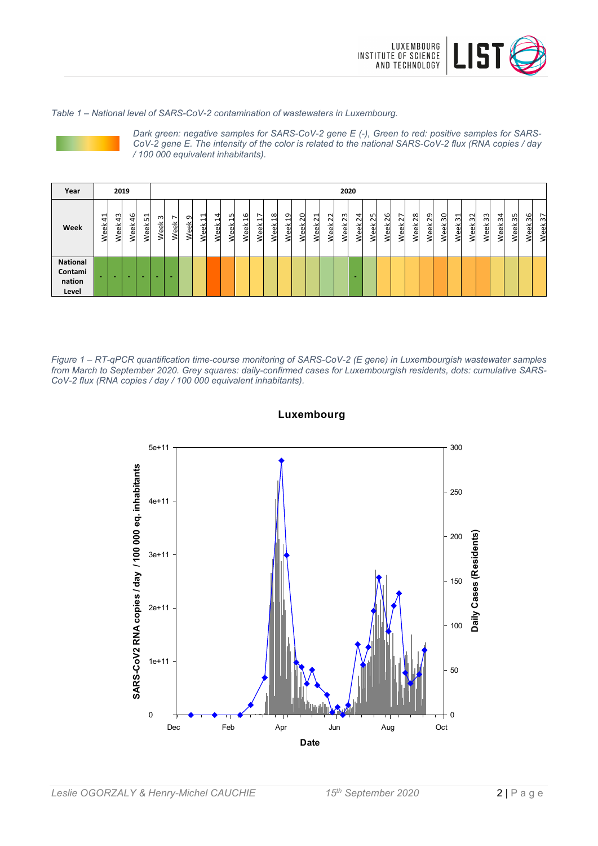

#### *Table 1 – National level of SARS-CoV-2 contamination of wastewaters in Luxembourg.*



*Dark green: negative samples for SARS-CoV-2 gene E (-), Green to red: positive samples for SARS-CoV-2 gene E. The intensity of the color is related to the national SARS-CoV-2 flux (RNA copies / day / 100 000 equivalent inhabitants).*

| Year                                          |             | 2019           |                              |            |           |                                  |                            |                                           |                |            |                                       |                                       |                       |                    |              |                   |                     | 2020              |            |            |                     |                                         |                          |            |            |            |            |            |                                         |                   |                      |                             |
|-----------------------------------------------|-------------|----------------|------------------------------|------------|-----------|----------------------------------|----------------------------|-------------------------------------------|----------------|------------|---------------------------------------|---------------------------------------|-----------------------|--------------------|--------------|-------------------|---------------------|-------------------|------------|------------|---------------------|-----------------------------------------|--------------------------|------------|------------|------------|------------|------------|-----------------------------------------|-------------------|----------------------|-----------------------------|
| Week                                          | ↽<br>4<br>ě | ω<br>4<br>Week | $\frac{6}{4}$<br><b>Neek</b> | 51<br>Week | ന<br>Week | $\overline{\phantom{0}}$<br>Week | ᡡ<br>훇<br>$\mathbf \omega$ | $\overline{\phantom{0}}$<br>ᆔ<br>eek<br>2 | 4<br>H<br>Week | 15<br>Week | G<br>$\overline{\phantom{0}}$<br>Week | $\overline{\phantom{0}}$<br>⊣<br>Week | $\infty$<br>−<br>Week | ᡡ<br>↽<br>≚<br>ee) | 0<br>๛<br>ee | ⊣<br>$\sim$<br>ěK | $\sim$<br>2<br>Week | 23<br><b>Week</b> | 24<br>Week | 25<br>Week | G<br>$\sim$<br>Week | $\overline{\phantom{0}}$<br>$\sim$<br>æ | $\infty$<br>$\sim$<br>ěK | 29<br>Week | 30<br>Week | 31<br>Week | 32<br>Week | 33<br>Week | $\overline{a}$<br>ന്<br>⊻<br><b>Jeg</b> | L<br>$\sim$<br>ee | 6<br>നി<br>/eek<br>2 | $\overline{\Omega}$<br>Week |
| <b>National</b><br>Contami<br>nation<br>Level |             |                |                              |            |           |                                  |                            |                                           |                |            |                                       |                                       |                       |                    |              |                   |                     |                   |            |            |                     |                                         |                          |            |            |            |            |            |                                         |                   |                      |                             |

*Figure 1 – RT-qPCR quantification time-course monitoring of SARS-CoV-2 (E gene) in Luxembourgish wastewater samples from March to September 2020. Grey squares: daily-confirmed cases for Luxembourgish residents, dots: cumulative SARS-CoV-2 flux (RNA copies / day / 100 000 equivalent inhabitants).*



**Luxembourg**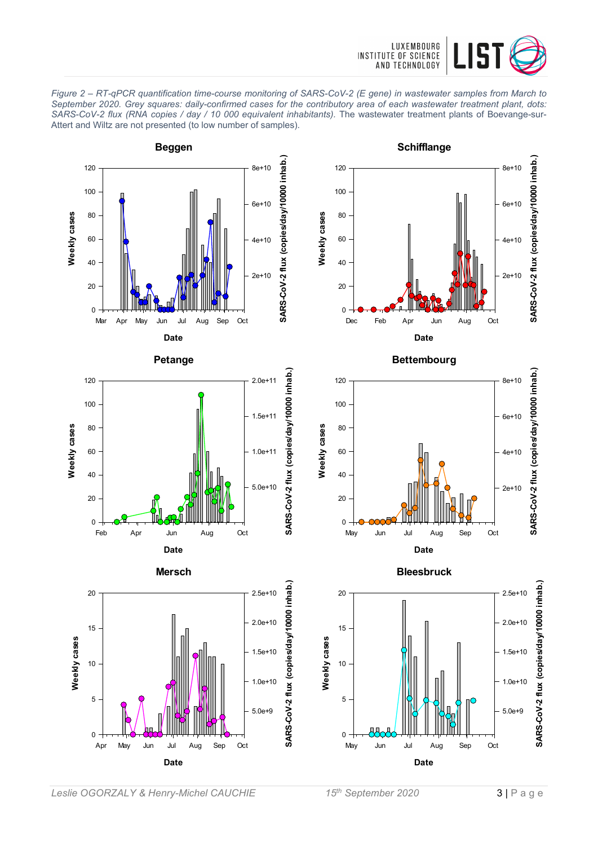

*Figure 2 – RT-qPCR quantification time-course monitoring of SARS-CoV-2 (E gene) in wastewater samples from March to September 2020. Grey squares: daily-confirmed cases for the contributory area of each wastewater treatment plant, dots: SARS-CoV-2 flux (RNA copies / day / 10 000 equivalent inhabitants).* The wastewater treatment plants of Boevange-sur-Attert and Wiltz are not presented (to low number of samples).

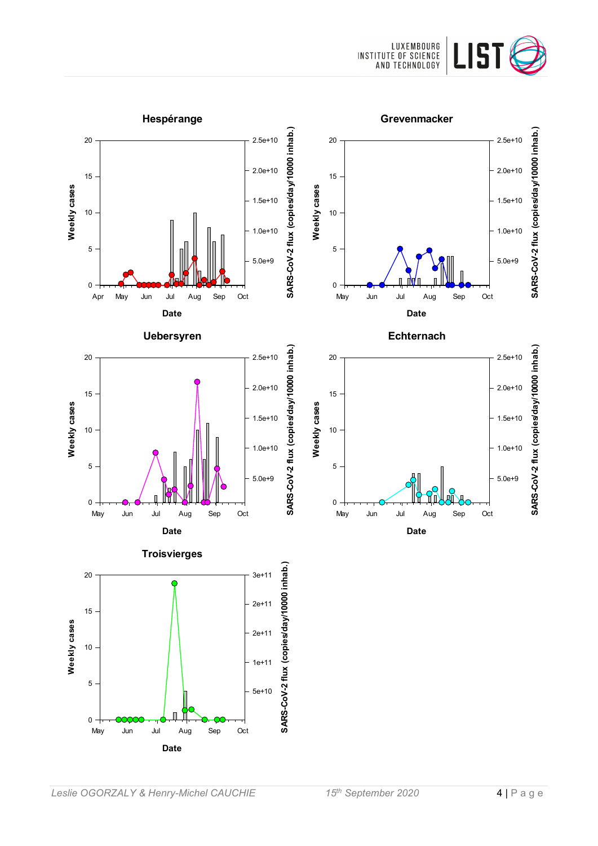![](_page_3_Picture_0.jpeg)

![](_page_3_Figure_1.jpeg)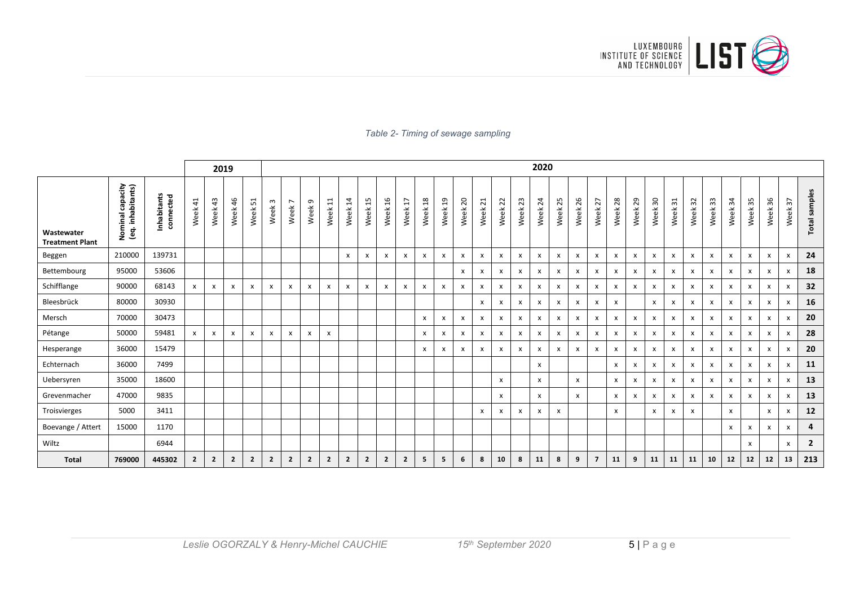![](_page_4_Picture_0.jpeg)

#### *Table 2- Timing of sewage sampling*

|                                      |                                       |                          |                |                | 2019           |                |                           |                                     |                   |                           |                        |                |                |                                 |                 |                           |              |                           |                           |             | 2020         |                           |            |                           |                |                           |                           |            |                           |                           |                           |                           |                           |                       |                |
|--------------------------------------|---------------------------------------|--------------------------|----------------|----------------|----------------|----------------|---------------------------|-------------------------------------|-------------------|---------------------------|------------------------|----------------|----------------|---------------------------------|-----------------|---------------------------|--------------|---------------------------|---------------------------|-------------|--------------|---------------------------|------------|---------------------------|----------------|---------------------------|---------------------------|------------|---------------------------|---------------------------|---------------------------|---------------------------|---------------------------|-----------------------|----------------|
| Wastewater<br><b>Treatment Plant</b> | Nominal capacity<br>(eq. inhabitants) | Inhabitants<br>connected | Week 41        | Week 43        | Week 46        | 51<br>Week     | $\mathsf{c}$<br>Week      | $\overline{ }$<br>Week <sup>-</sup> | Week <sub>9</sub> | $\Xi$<br>Week             | $\overline{1}$<br>Week | 15<br>Week     | 16<br>Week     | $\overline{\mathbf{r}}$<br>Week | $^{28}$<br>Week | $\overline{a}$<br>Week    | 20<br>Week   | $\overline{21}$<br>Week   | 22<br>Week                | 23<br>Week: | 24<br>Week   | 25<br>Week                | 26<br>Week | 27<br>Week                | $28$<br>Week   | 29<br>Week                | 30<br>Week                | 31<br>Week | 32<br>Week                | 33<br>Week                | $\mathfrak{z}$<br>Week    | 35<br>Week                | 36<br>Week                | $\frac{2}{3}$<br>Week | Total samples  |
| Beggen                               | 210000                                | 139731                   |                |                |                |                |                           |                                     |                   |                           | $\mathsf{x}$           | x              | X              | X                               | X               | $\boldsymbol{\mathsf{x}}$ | x            | $\boldsymbol{\mathsf{x}}$ | $\mathsf{x}$              | x           | $\mathsf{x}$ | $\boldsymbol{\mathsf{x}}$ | X          | X                         | X              | $\mathsf{x}$              | $\mathsf{x}$              | X          | $\boldsymbol{\mathsf{x}}$ | $\mathsf{x}$              | X                         | x                         | $\boldsymbol{\mathsf{x}}$ | X                     | 24             |
| Bettembourg                          | 95000                                 | 53606                    |                |                |                |                |                           |                                     |                   |                           |                        |                |                |                                 |                 |                           | x            | X                         | $\boldsymbol{\mathsf{x}}$ | x           | X            | X                         | x          | x                         | X              | $\boldsymbol{\mathsf{x}}$ | X                         | X          | $\boldsymbol{\mathsf{x}}$ | $\boldsymbol{\mathsf{x}}$ | X                         | x                         | X                         | x                     | 18             |
| Schifflange                          | 90000                                 | 68143                    | X              | x              | $\mathsf{x}$   | x              | $\boldsymbol{\mathsf{x}}$ | $\mathsf{x}$                        | $\mathsf{x}$      | x                         | $\mathsf{x}$           | x              | $\mathsf{x}$   | X                               | $\mathsf{x}$    | $\mathsf{x}$              | $\mathsf{x}$ | $\pmb{\chi}$              | $\mathsf{x}$              | x           | X            | $\boldsymbol{\mathsf{x}}$ | x          | X                         | x              | $\mathsf{x}$              | $\mathsf{x}$              | x          | $\boldsymbol{\mathsf{x}}$ | $\boldsymbol{\mathsf{x}}$ | X                         | $\boldsymbol{\mathsf{x}}$ | $\boldsymbol{\mathsf{x}}$ | x                     | 32             |
| Bleesbrück                           | 80000                                 | 30930                    |                |                |                |                |                           |                                     |                   |                           |                        |                |                |                                 |                 |                           |              | $\boldsymbol{\mathsf{x}}$ | $\mathsf{x}$              | x           | X            | $\boldsymbol{\mathsf{x}}$ | x          | X                         | $\mathsf{x}$   |                           | X                         | X          | $\boldsymbol{\mathsf{x}}$ | $\mathsf{x}$              | X                         | x                         | $\boldsymbol{\mathsf{x}}$ | x                     | 16             |
| Mersch                               | 70000                                 | 30473                    |                |                |                |                |                           |                                     |                   |                           |                        |                |                |                                 | x               | X                         | x            | $\boldsymbol{\mathsf{x}}$ | $\mathsf{x}$              | x           | X            | X                         | x          | X                         | $\pmb{\times}$ | X                         | X                         | X          | $\boldsymbol{\mathsf{x}}$ | $\mathsf{x}$              | X                         | $\boldsymbol{\mathsf{x}}$ | $\boldsymbol{\mathsf{x}}$ | X                     | 20             |
| Pétange                              | 50000                                 | 59481                    | $\mathsf{x}$   | x              | X              | x              | $\boldsymbol{\mathsf{x}}$ | $\boldsymbol{\mathsf{x}}$           | x                 | $\boldsymbol{\mathsf{x}}$ |                        |                |                |                                 | X               | X                         | x            | X                         | $\mathsf{x}$              | X           | X            | $\mathsf{x}$              | x          | $\boldsymbol{\mathsf{x}}$ | $\mathsf{x}$   | X                         | $\boldsymbol{\mathsf{x}}$ | x          | $\boldsymbol{\mathsf{x}}$ | $\mathsf{x}$              | X                         | x                         | $\mathsf{x}$              | x                     | 28             |
| Hesperange                           | 36000                                 | 15479                    |                |                |                |                |                           |                                     |                   |                           |                        |                |                |                                 | x               | X                         | x            | $\boldsymbol{\mathsf{x}}$ | $\mathsf{x}$              | x           | X            | X                         | x          | X                         | $\mathsf{x}$   | X                         | $\boldsymbol{\mathsf{x}}$ | X          | $\boldsymbol{\mathsf{x}}$ | $\mathsf{x}$              | x                         | x                         | $\boldsymbol{\mathsf{x}}$ | x                     | 20             |
| Echternach                           | 36000                                 | 7499                     |                |                |                |                |                           |                                     |                   |                           |                        |                |                |                                 |                 |                           |              |                           |                           |             | X            |                           |            |                           | X              | X                         | X                         | X          | $\boldsymbol{\mathsf{x}}$ | $\mathsf{x}$              | X                         | X                         | $\boldsymbol{\mathsf{x}}$ | x                     | 11             |
| Uebersyren                           | 35000                                 | 18600                    |                |                |                |                |                           |                                     |                   |                           |                        |                |                |                                 |                 |                           |              |                           | $\mathsf{x}$              |             | $\mathsf{x}$ |                           | x          |                           | $\mathsf{x}$   | X                         | X                         | x          | $\boldsymbol{\mathsf{x}}$ | $\mathsf{x}$              | X                         | x                         | x                         | x                     | 13             |
| Grevenmacher                         | 47000                                 | 9835                     |                |                |                |                |                           |                                     |                   |                           |                        |                |                |                                 |                 |                           |              |                           | $\mathsf{x}$              |             | $\mathsf{x}$ |                           | x          |                           | $\mathsf{x}$   | X                         | $\boldsymbol{\mathsf{x}}$ | x          | $\boldsymbol{\mathsf{x}}$ | $\mathsf{x}$              | x                         | x                         | $\boldsymbol{\mathsf{x}}$ | x                     | 13             |
| Troisvierges                         | 5000                                  | 3411                     |                |                |                |                |                           |                                     |                   |                           |                        |                |                |                                 |                 |                           |              | $\boldsymbol{\mathsf{x}}$ | $\mathsf{x}$              | x           | x            | $\mathsf{x}$              |            |                           | $\mathsf{x}$   |                           | $\boldsymbol{\mathsf{x}}$ | X          | $\boldsymbol{\mathsf{x}}$ |                           | $\boldsymbol{\mathsf{x}}$ |                           | $\mathsf{x}$              | X                     | 12             |
| Boevange / Attert                    | 15000                                 | 1170                     |                |                |                |                |                           |                                     |                   |                           |                        |                |                |                                 |                 |                           |              |                           |                           |             |              |                           |            |                           |                |                           |                           |            |                           |                           | x                         | X                         | $\mathsf{x}$              | X                     | 4              |
| Wiltz                                |                                       | 6944                     |                |                |                |                |                           |                                     |                   |                           |                        |                |                |                                 |                 |                           |              |                           |                           |             |              |                           |            |                           |                |                           |                           |            |                           |                           |                           | x                         |                           | х                     | $\overline{2}$ |
| <b>Total</b>                         | 769000                                | 445302                   | $\overline{2}$ | $\overline{2}$ | $\overline{2}$ | $\overline{2}$ | $\overline{2}$            | $\overline{2}$                      | $\overline{2}$    | $\overline{2}$            | $\overline{2}$         | $\overline{2}$ | $\overline{2}$ | $\overline{2}$                  | 5               | 5                         | 6            | 8                         | 10                        | 8           | 11           | 8                         | 9          | $\overline{7}$            | 11             | 9                         | 11                        | 11         | 11                        | 10                        | 12                        | 12                        | 12                        | 13                    | 213            |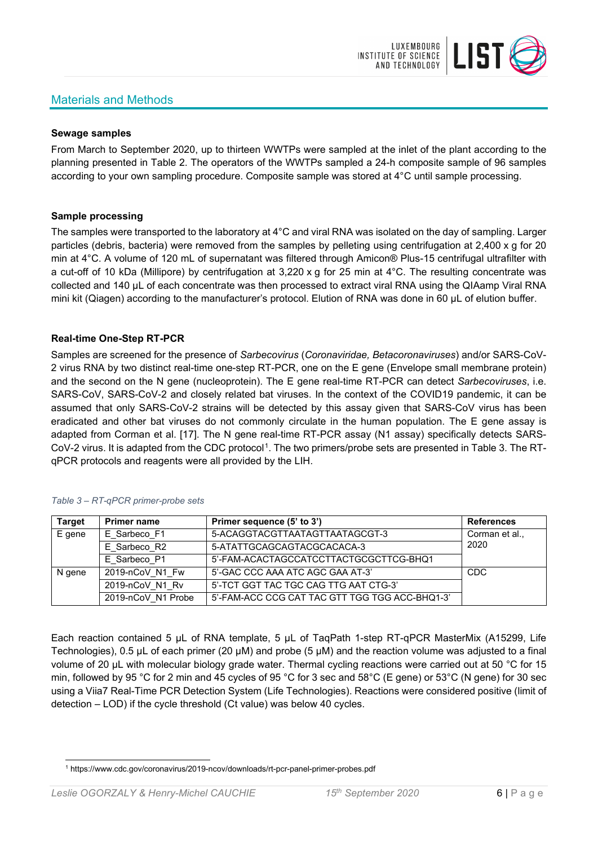# Materials and Methods

![](_page_5_Picture_1.jpeg)

#### **Sewage samples**

From March to September 2020, up to thirteen WWTPs were sampled at the inlet of the plant according to the planning presented in Table 2. The operators of the WWTPs sampled a 24-h composite sample of 96 samples according to your own sampling procedure. Composite sample was stored at 4°C until sample processing.

### **Sample processing**

The samples were transported to the laboratory at 4°C and viral RNA was isolated on the day of sampling. Larger particles (debris, bacteria) were removed from the samples by pelleting using centrifugation at 2,400 x g for 20 min at 4°C. A volume of 120 mL of supernatant was filtered through Amicon® Plus-15 centrifugal ultrafilter with a cut-off of 10 kDa (Millipore) by centrifugation at 3,220 x g for 25 min at 4°C. The resulting concentrate was collected and 140 µL of each concentrate was then processed to extract viral RNA using the QIAamp Viral RNA mini kit (Qiagen) according to the manufacturer's protocol. Elution of RNA was done in 60 μL of elution buffer.

### **Real-time One-Step RT-PCR**

Samples are screened for the presence of *Sarbecovirus* (*Coronaviridae, Betacoronaviruses*) and/or SARS-CoV-2 virus RNA by two distinct real-time one-step RT-PCR, one on the E gene (Envelope small membrane protein) and the second on the N gene (nucleoprotein). The E gene real-time RT-PCR can detect *Sarbecoviruses*, i.e. SARS-CoV, SARS-CoV-2 and closely related bat viruses. In the context of the COVID19 pandemic, it can be assumed that only SARS-CoV-2 strains will be detected by this assay given that SARS-CoV virus has been eradicated and other bat viruses do not commonly circulate in the human population. The E gene assay is adapted from Corman et al. [17]. The N gene real-time RT-PCR assay (N1 assay) specifically detects SARS-CoV-2 virus. It is adapted from the CDC protocol[1](#page-5-0). The two primers/probe sets are presented in Table 3. The RTqPCR protocols and reagents were all provided by the LIH.

| <b>Target</b> | <b>Primer name</b> | Primer sequence (5' to 3')                     | <b>References</b> |
|---------------|--------------------|------------------------------------------------|-------------------|
| E gene        | E Sarbeco F1       | 5-ACAGGTACGTTAATAGTTAATAGCGT-3                 | Corman et al.,    |
|               | E Sarbeco R2       | 5-ATATTGCAGCAGTACGCACACA-3                     | 2020              |
|               | E Sarbeco P1       | 5'-FAM-ACACTAGCCATCCTTACTGCGCTTCG-BHQ1         |                   |
| N gene        | 2019-nCoV N1 Fw    | 5'-GAC CCC AAA ATC AGC GAA AT-3'               | <b>CDC</b>        |
|               | 2019-nCoV N1 Rv    | 5'-TCT GGT TAC TGC CAG TTG AAT CTG-3'          |                   |
|               | 2019-nCoV N1 Probe | 5'-FAM-ACC CCG CAT TAC GTT TGG TGG ACC-BHQ1-3' |                   |

#### *Table 3 – RT-qPCR primer-probe sets*

Each reaction contained 5 μL of RNA template, 5 μL of TaqPath 1-step RT-qPCR MasterMix (A15299, Life Technologies), 0.5 µL of each primer (20 µM) and probe (5 µM) and the reaction volume was adjusted to a final volume of 20 μL with molecular biology grade water. Thermal cycling reactions were carried out at 50 °C for 15 min, followed by 95 °C for 2 min and 45 cycles of 95 °C for 3 sec and 58°C (E gene) or 53°C (N gene) for 30 sec using a Viia7 Real-Time PCR Detection System (Life Technologies). Reactions were considered positive (limit of detection – LOD) if the cycle threshold (Ct value) was below 40 cycles.

<span id="page-5-0"></span><sup>1</sup> https://www.cdc.gov/coronavirus/2019-ncov/downloads/rt-pcr-panel-primer-probes.pdf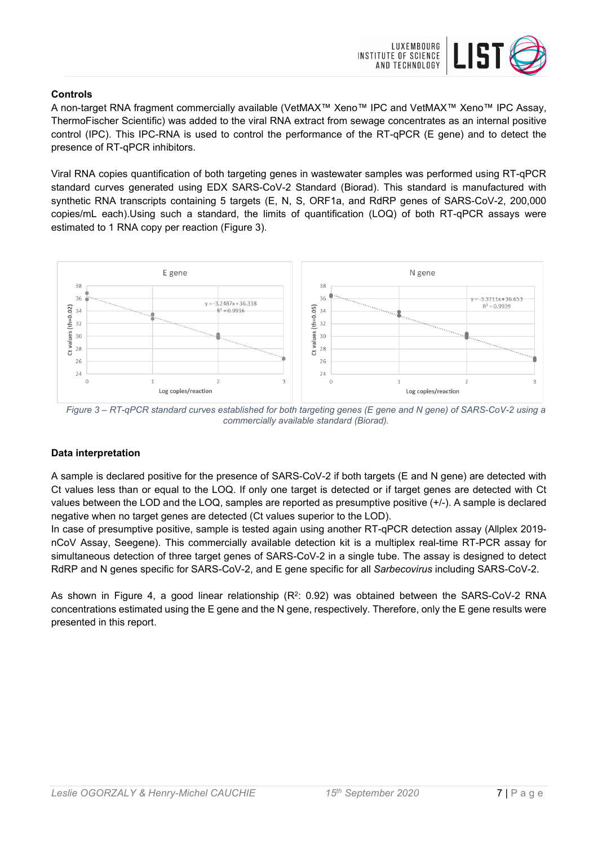![](_page_6_Picture_0.jpeg)

### **Controls**

A non-target RNA fragment commercially available (VetMAX™ Xeno™ IPC and VetMAX™ Xeno™ IPC Assay, ThermoFischer Scientific) was added to the viral RNA extract from sewage concentrates as an internal positive control (IPC). This IPC-RNA is used to control the performance of the RT-qPCR (E gene) and to detect the presence of RT-qPCR inhibitors.

Viral RNA copies quantification of both targeting genes in wastewater samples was performed using RT-qPCR standard curves generated using EDX SARS-CoV-2 Standard (Biorad). This standard is manufactured with synthetic RNA transcripts containing 5 targets (E, N, S, ORF1a, and RdRP genes of SARS-CoV-2, 200,000 copies/mL each).Using such a standard, the limits of quantification (LOQ) of both RT-qPCR assays were estimated to 1 RNA copy per reaction (Figure 3).

![](_page_6_Figure_4.jpeg)

*Figure 3 – RT-qPCR standard curves established for both targeting genes (E gene and N gene) of SARS-CoV-2 using a commercially available standard (Biorad).*

#### **Data interpretation**

A sample is declared positive for the presence of SARS-CoV-2 if both targets (E and N gene) are detected with Ct values less than or equal to the LOQ. If only one target is detected or if target genes are detected with Ct values between the LOD and the LOQ, samples are reported as presumptive positive (+/-). A sample is declared negative when no target genes are detected (Ct values superior to the LOD).

In case of presumptive positive, sample is tested again using another RT-qPCR detection assay (Allplex 2019 nCoV Assay, Seegene). This commercially available detection kit is a multiplex real-time RT-PCR assay for simultaneous detection of three target genes of SARS-CoV-2 in a single tube. The assay is designed to detect RdRP and N genes specific for SARS-CoV-2, and E gene specific for all *Sarbecovirus* including SARS-CoV-2.

As shown in Figure 4, a good linear relationship  $(R^2: 0.92)$  was obtained between the SARS-CoV-2 RNA concentrations estimated using the E gene and the N gene, respectively. Therefore, only the E gene results were presented in this report.